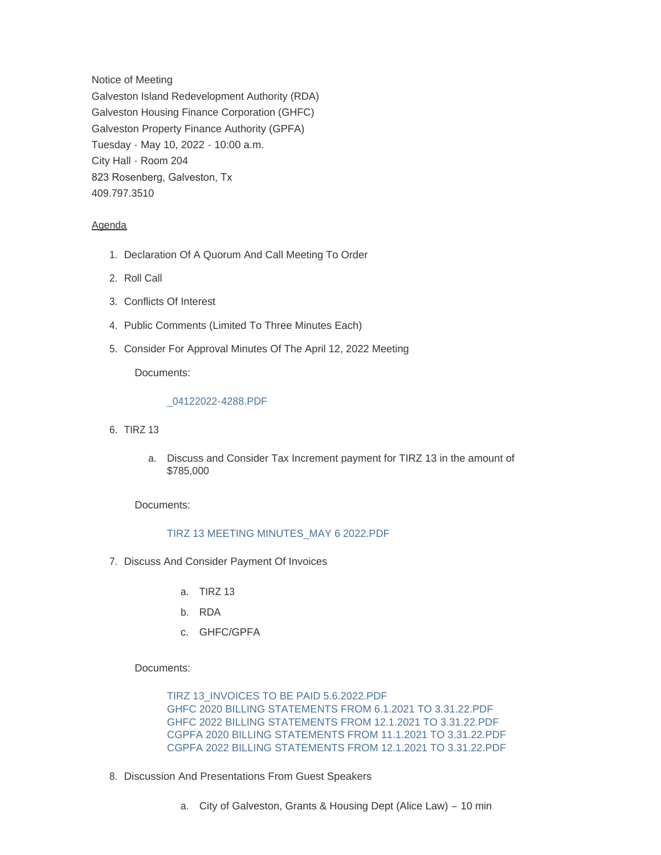Notice of Meeting Galveston Island Redevelopment Authority (RDA) Galveston Housing Finance Corporation (GHFC) Galveston Property Finance Authority (GPFA) Tuesday - May 10, 2022 - 10:00 a.m. City Hall - Room 204 823 Rosenberg, Galveston, Tx 409.797.3510

## Agenda

- 1. Declaration Of A Quorum And Call Meeting To Order
- 2. Roll Call
- 3. Conflicts Of Interest
- 4. Public Comments (Limited To Three Minutes Each)
- 5. Consider For Approval Minutes Of The April 12, 2022 Meeting

Documents:

## [\\_04122022-4288.PDF](https://www.galvestontx.gov/AgendaCenter/ViewFile/Item/14203?fileID=32868)

- 6. TIRZ 13
	- a. Discuss and Consider Tax Increment payment for TIRZ 13 in the amount of \$785,000

Documents:

## [TIRZ 13 MEETING MINUTES\\_MAY 6 2022.PDF](https://www.galvestontx.gov/AgendaCenter/ViewFile/Item/14204?fileID=32877)

- 7. Discuss And Consider Payment Of Invoices
	- a. TIRZ 13
	- b. RDA
	- c. GHFC/GPFA

## Documents:

[TIRZ 13\\_INVOICES TO BE PAID 5.6.2022.PDF](https://www.galvestontx.gov/AgendaCenter/ViewFile/Item/14205?fileID=32870) [GHFC 2020 BILLING STATEMENTS FROM 6.1.2021 TO 3.31.22.PDF](https://www.galvestontx.gov/AgendaCenter/ViewFile/Item/14205?fileID=32872) [GHFC 2022 BILLING STATEMENTS FROM 12.1.2021 TO 3.31.22.PDF](https://www.galvestontx.gov/AgendaCenter/ViewFile/Item/14205?fileID=32873) [CGPFA 2020 BILLING STATEMENTS FROM 11.1.2021 TO 3.31.22.PDF](https://www.galvestontx.gov/AgendaCenter/ViewFile/Item/14205?fileID=32874) [CGPFA 2022 BILLING STATEMENTS FROM 12.1.2021 TO 3.31.22.PDF](https://www.galvestontx.gov/AgendaCenter/ViewFile/Item/14205?fileID=32875)

- 8. Discussion And Presentations From Guest Speakers
	- a. City of Galveston, Grants & Housing Dept (Alice Law) 10 min